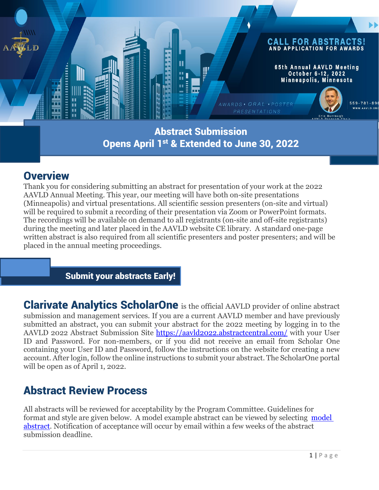

#### Abstract Submission Opens April 1st & Extended to June 30, 2022

#### **Overview**

Thank you for considering submitting an abstract for presentation of your work at the 2022 AAVLD Annual Meeting. This year, our meeting will have both on-site presentations (Minneapolis) and virtual presentations. All scientific session presenters (on-site and virtual) will be required to submit a recording of their presentation via Zoom or PowerPoint formats. The recordings will be available on demand to all registrants (on-site and off-site registrants) during the meeting and later placed in the AAVLD website CE library. A standard one-page written abstract is also required from all scientific presenters and poster presenters; and will be placed in the annual meeting proceedings.

Submit your abstracts Early!

Clarivate Analytics ScholarOne is the official AAVLD provider of online abstract submission and management services. If you are a current AAVLD member and have previously submitted an abstract, you can submit your abstract for the 2022 meeting by logging in to the AAVLD 2022 Abstract Submission Site <https://aavld2022.abstractcentral.com/> with your User ID and Password. For non-members, or if you did not receive an email from Scholar One containing your User ID and Password, follow the instructions on the website for creating a new account. After login, follow the online instructions to submit your abstract. The ScholarOne portal will be open as of April 1, 2022.

# Abstract Review Process

All abstracts will be reviewed for acceptability by the Program Committee. Guidelines for format and style are given below. A model example abstract can be viewed by selecting [model](https://aavco.memberclicks.net/model-abstract)  [abstract.](https://aavco.memberclicks.net/model-abstract) Notification of acceptance will occur by email within a few weeks of the abstract submission deadline.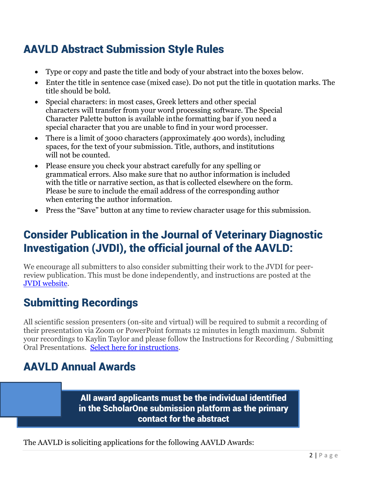# AAVLD Abstract Submission Style Rules

- Type or copy and paste the title and body of your abstract into the boxes below.
- Enter the title in sentence case (mixed case). Do not put the title in quotation marks. The title should be bold.
- Special characters: in most cases, Greek letters and other special characters will transfer from your word processing software. The Special Character Palette button is available inthe formatting bar if you need a special character that you are unable to find in your word processer.
- There is a limit of 3000 characters (approximately 400 words), including spaces, for the text of your submission. Title, authors, and institutions will not be counted.
- Please ensure you check your abstract carefully for any spelling or grammatical errors. Also make sure that no author information is included with the title or narrative section, as that is collected elsewhere on the form. Please be sure to include the email address of the corresponding author when entering the author information.
- Press the "Save" button at any time to review character usage for this submission.

## Consider Publication in the Journal of Veterinary Diagnostic Investigation (JVDI), the official journal of the AAVLD:

We encourage all submitters to also consider submitting their work to the JVDI for peerreview publication. This must be done independently, and instructions are posted at the [JVDI website.](https://aavld.memberclicks.net/jvdi-page)

# Submitting Recordings

All scientific session presenters (on-site and virtual) will be required to submit a recording of their presentation via Zoom or PowerPoint formats 12 minutes in length maximum. Submit your recordings to Kaylin Taylor and please follow the Instructions for Recording / Submitting Oral Presentations. [Select here for instructions.](https://aavco.memberclicks.net/2022-speaker-presenter-poster-resources)

# AAVLD Annual Awards

All award applicants must be the individual identified in the ScholarOne submission platform as the primary contact for the abstract

The AAVLD is soliciting applications for the following AAVLD Awards: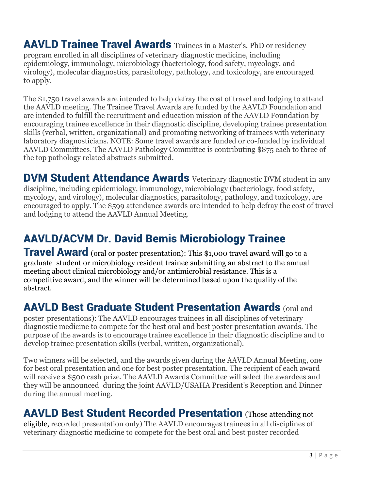AAVLD Trainee Travel Awards Trainees in a Master's, PhD or residency program enrolled in all disciplines of veterinary diagnostic medicine, including epidemiology, immunology, microbiology (bacteriology, food safety, mycology, and virology), molecular diagnostics, parasitology, pathology, and toxicology, are encouraged to apply.

The \$1,750 travel awards are intended to help defray the cost of travel and lodging to attend the AAVLD meeting. The Trainee Travel Awards are funded by the AAVLD Foundation and are intended to fulfill the recruitment and education mission of the AAVLD Foundation by encouraging trainee excellence in their diagnostic discipline, developing trainee presentation skills (verbal, written, organizational) and promoting networking of trainees with veterinary laboratory diagnosticians. NOTE: Some travel awards are funded or co-funded by individual AAVLD Committees. The AAVLD Pathology Committee is contributing \$875 each to three of the top pathology related abstracts submitted.

DVM Student Attendance Awards Veterinary diagnostic DVM student in any discipline, including epidemiology, immunology, microbiology (bacteriology, food safety, mycology, and virology), molecular diagnostics, parasitology, pathology, and toxicology, are encouraged to apply. The \$599 attendance awards are intended to help defray the cost of travel and lodging to attend the AAVLD Annual Meeting.

# AAVLD/ACVM Dr. David Bemis Microbiology Trainee

**Travel Award** (oral or poster presentation): This \$1,000 travel award will go to a graduate student or microbiology resident trainee submitting an abstract to the annual meeting about clinical microbiology and/or antimicrobial resistance. This is a competitive award, and the winner will be determined based upon the quality of the abstract.

#### AAVLD Best Graduate Student Presentation Awards (oral and

poster presentations): The AAVLD encourages trainees in all disciplines of veterinary diagnostic medicine to compete for the best oral and best poster presentation awards. The purpose of the awards is to encourage trainee excellence in their diagnostic discipline and to develop trainee presentation skills (verbal, written, organizational).

Two winners will be selected, and the awards given during the AAVLD Annual Meeting, one for best oral presentation and one for best poster presentation. The recipient of each award will receive a \$500 cash prize. The AAVLD Awards Committee will select the awardees and they will be announced during the joint AAVLD/USAHA President's Reception and Dinner during the annual meeting.

#### AAVLD Best Student Recorded Presentation (Those attending not

eligible, recorded presentation only) The AAVLD encourages trainees in all disciplines of veterinary diagnostic medicine to compete for the best oral and best poster recorded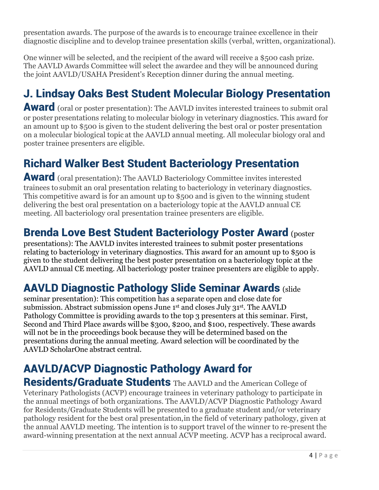presentation awards. The purpose of the awards is to encourage trainee excellence in their diagnostic discipline and to develop trainee presentation skills (verbal, written, organizational).

One winner will be selected, and the recipient of the award will receive a \$500 cash prize. The AAVLD Awards Committee will select the awardee and they will be announced during the joint AAVLD/USAHA President's Reception dinner during the annual meeting.

# J. Lindsay Oaks Best Student Molecular Biology Presentation

Award (oral or poster presentation): The AAVLD invites interested trainees to submit oral or poster presentations relating to molecular biology in veterinary diagnostics. This award for an amount up to \$500 is given to the student delivering the best oral or poster presentation on a molecular biological topic at the AAVLD annual meeting. All molecular biology oral and poster trainee presenters are eligible.

# Richard Walker Best Student Bacteriology Presentation

Award (oral presentation): The AAVLD Bacteriology Committee invites interested trainees to submit an oral presentation relating to bacteriology in veterinary diagnostics. This competitive award is for an amount up to \$500 and is given to the winning student delivering the best oral presentation on a bacteriology topic at the AAVLD annual CE meeting. All bacteriology oral presentation trainee presenters are eligible.

#### Brenda Love Best Student Bacteriology Poster Award (poster

presentations): The AAVLD invites interested trainees to submit poster presentations relating to bacteriology in veterinary diagnostics. This award for an amount up to \$500 is given to the student delivering the best poster presentation on a bacteriology topic at the AAVLD annual CE meeting. All bacteriology poster trainee presenters are eligible to apply.

## AAVLD Diagnostic Pathology Slide Seminar Awards (slide

seminar presentation): This competition has a separate open and close date for submission. Abstract submission opens June 1st and closes July 31st. The AAVLD Pathology Committee is providing awards to the top 3 presenters at this seminar. First, Second and Third Place awards willbe \$300, \$200, and \$100, respectively. These awards will not be in the proceedings book because they will be determined based on the presentations during the annual meeting. Award selection will be coordinated by the AAVLD ScholarOne abstract central.

# AAVLD/ACVP Diagnostic Pathology Award for

Residents/Graduate Students The AAVLD and the American College of Veterinary Pathologists (ACVP) encourage trainees in veterinary pathology to participate in the annual meetings of both organizations. The AAVLD/ACVP Diagnostic Pathology Award for Residents/Graduate Students will be presented to a graduate student and/or veterinary pathology resident for the best oral presentation,in the field of veterinary pathology, given at the annual AAVLD meeting. The intention is to support travel of the winner to re-present the award-winning presentation at the next annual ACVP meeting. ACVP has a reciprocal award.